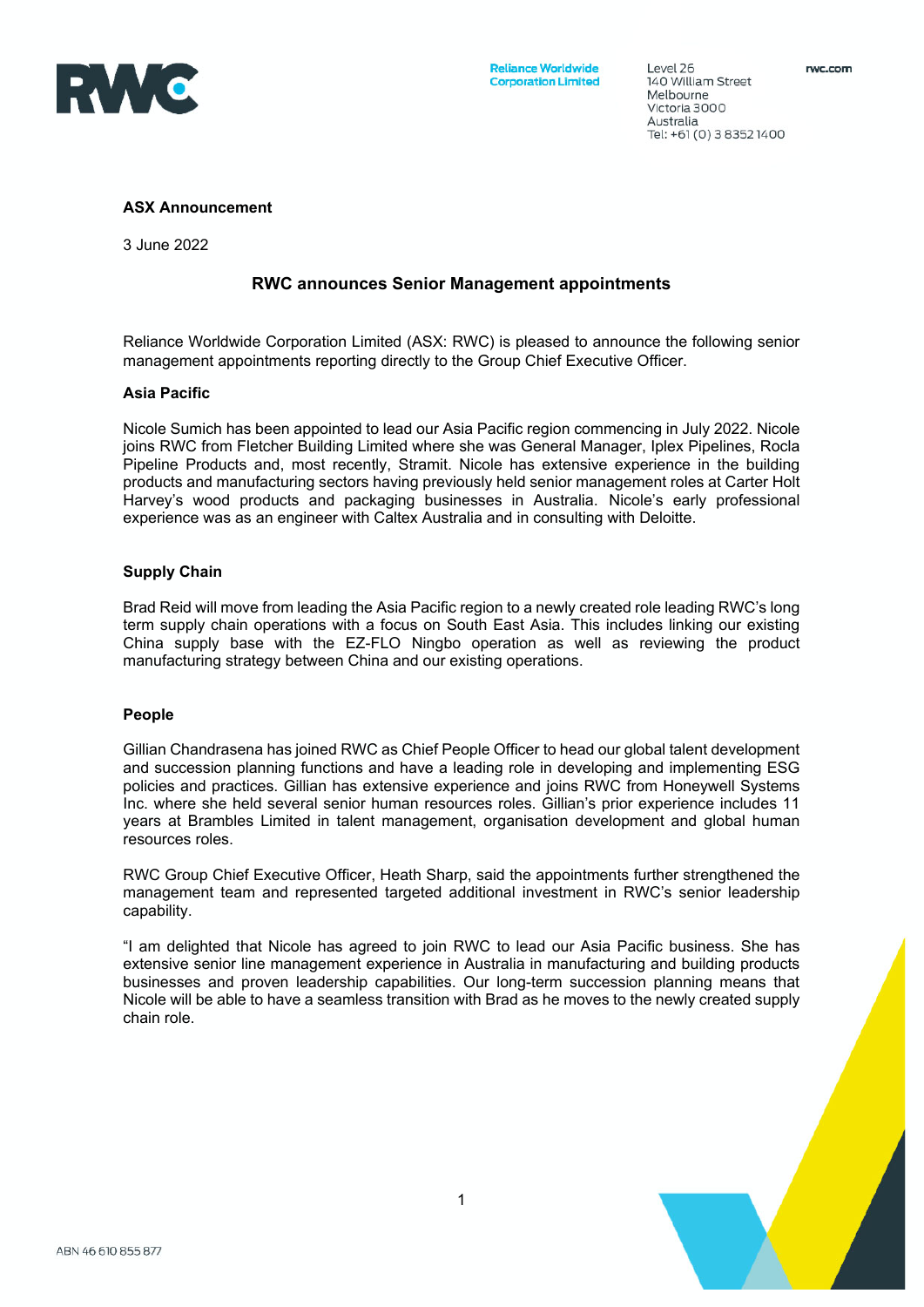

140 William Street Melbourne Victoria 3000 Australia Tel: +61 (0) 3 8352 1400

 $PQQQQZ6$ 

### **ASX Announcement**

3 June 2022

# **RWC announces Senior Management appointments**

Reliance Worldwide Corporation Limited (ASX: RWC) is pleased to announce the following senior management appointments reporting directly to the Group Chief Executive Officer.

### **Asia Pacific**

Nicole Sumich has been appointed to lead our Asia Pacific region commencing in July 2022. Nicole joins RWC from Fletcher Building Limited where she was General Manager, Iplex Pipelines, Rocla Pipeline Products and, most recently, Stramit. Nicole has extensive experience in the building products and manufacturing sectors having previously held senior management roles at Carter Holt Harvey's wood products and packaging businesses in Australia. Nicole's early professional experience was as an engineer with Caltex Australia and in consulting with Deloitte.

## **Supply Chain**

Brad Reid will move from leading the Asia Pacific region to a newly created role leading RWC's long term supply chain operations with a focus on South East Asia. This includes linking our existing China supply base with the EZ-FLO Ningbo operation as well as reviewing the product manufacturing strategy between China and our existing operations.

### **People**

Gillian Chandrasena has joined RWC as Chief People Officer to head our global talent development and succession planning functions and have a leading role in developing and implementing ESG policies and practices. Gillian has extensive experience and joins RWC from Honeywell Systems Inc. where she held several senior human resources roles. Gillian's prior experience includes 11 years at Brambles Limited in talent management, organisation development and global human resources roles.

RWC Group Chief Executive Officer, Heath Sharp, said the appointments further strengthened the management team and represented targeted additional investment in RWC's senior leadership capability.

"I am delighted that Nicole has agreed to join RWC to lead our Asia Pacific business. She has extensive senior line management experience in Australia in manufacturing and building products businesses and proven leadership capabilities. Our long-term succession planning means that Nicole will be able to have a seamless transition with Brad as he moves to the newly created supply chain role.